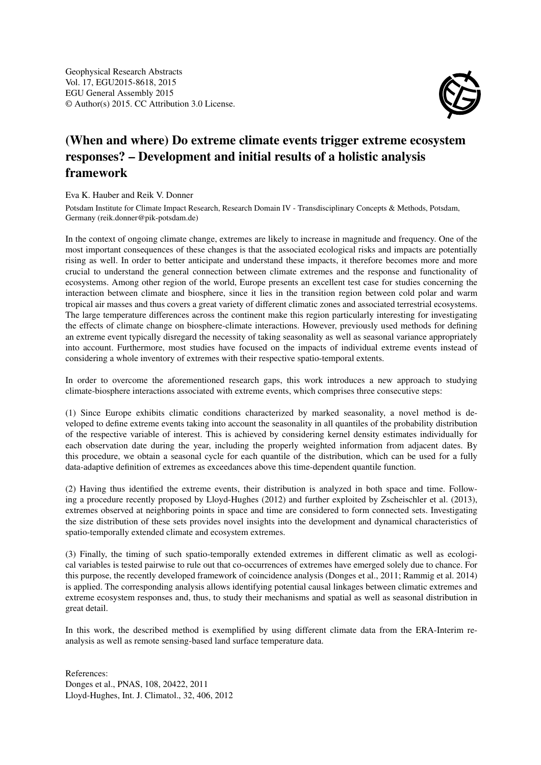Geophysical Research Abstracts Vol. 17, EGU2015-8618, 2015 EGU General Assembly 2015 © Author(s) 2015. CC Attribution 3.0 License.



## (When and where) Do extreme climate events trigger extreme ecosystem responses? – Development and initial results of a holistic analysis framework

Eva K. Hauber and Reik V. Donner

Potsdam Institute for Climate Impact Research, Research Domain IV - Transdisciplinary Concepts & Methods, Potsdam, Germany (reik.donner@pik-potsdam.de)

In the context of ongoing climate change, extremes are likely to increase in magnitude and frequency. One of the most important consequences of these changes is that the associated ecological risks and impacts are potentially rising as well. In order to better anticipate and understand these impacts, it therefore becomes more and more crucial to understand the general connection between climate extremes and the response and functionality of ecosystems. Among other region of the world, Europe presents an excellent test case for studies concerning the interaction between climate and biosphere, since it lies in the transition region between cold polar and warm tropical air masses and thus covers a great variety of different climatic zones and associated terrestrial ecosystems. The large temperature differences across the continent make this region particularly interesting for investigating the effects of climate change on biosphere-climate interactions. However, previously used methods for defining an extreme event typically disregard the necessity of taking seasonality as well as seasonal variance appropriately into account. Furthermore, most studies have focused on the impacts of individual extreme events instead of considering a whole inventory of extremes with their respective spatio-temporal extents.

In order to overcome the aforementioned research gaps, this work introduces a new approach to studying climate-biosphere interactions associated with extreme events, which comprises three consecutive steps:

(1) Since Europe exhibits climatic conditions characterized by marked seasonality, a novel method is developed to define extreme events taking into account the seasonality in all quantiles of the probability distribution of the respective variable of interest. This is achieved by considering kernel density estimates individually for each observation date during the year, including the properly weighted information from adjacent dates. By this procedure, we obtain a seasonal cycle for each quantile of the distribution, which can be used for a fully data-adaptive definition of extremes as exceedances above this time-dependent quantile function.

(2) Having thus identified the extreme events, their distribution is analyzed in both space and time. Following a procedure recently proposed by Lloyd-Hughes (2012) and further exploited by Zscheischler et al. (2013), extremes observed at neighboring points in space and time are considered to form connected sets. Investigating the size distribution of these sets provides novel insights into the development and dynamical characteristics of spatio-temporally extended climate and ecosystem extremes.

(3) Finally, the timing of such spatio-temporally extended extremes in different climatic as well as ecological variables is tested pairwise to rule out that co-occurrences of extremes have emerged solely due to chance. For this purpose, the recently developed framework of coincidence analysis (Donges et al., 2011; Rammig et al. 2014) is applied. The corresponding analysis allows identifying potential causal linkages between climatic extremes and extreme ecosystem responses and, thus, to study their mechanisms and spatial as well as seasonal distribution in great detail.

In this work, the described method is exemplified by using different climate data from the ERA-Interim reanalysis as well as remote sensing-based land surface temperature data.

References: Donges et al., PNAS, 108, 20422, 2011 Lloyd-Hughes, Int. J. Climatol., 32, 406, 2012